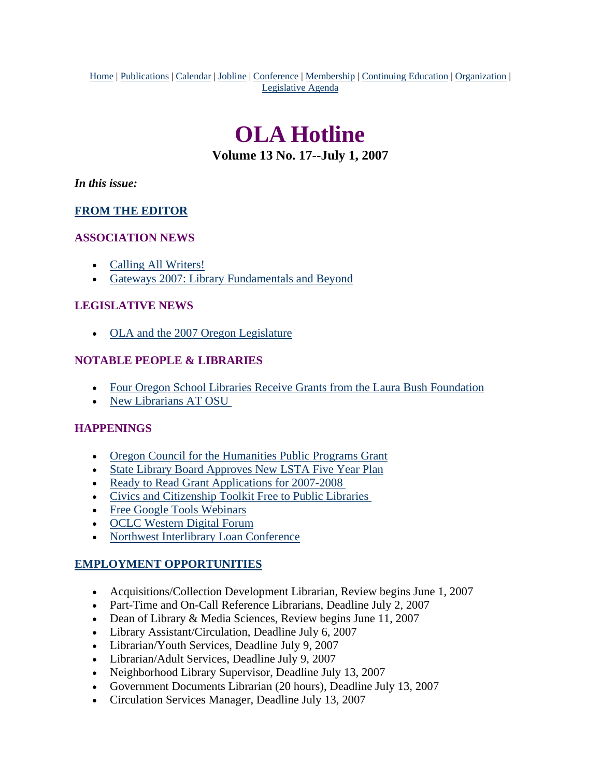<span id="page-0-0"></span>Home | Publications | Calendar | Jobline | Conference | Membership | Continuing Education | Organization | Legislative Agenda

# **OLA Hotline**

**Volume 13 No. 17--July 1, 2007**

*In this issue:*

### **[FROM THE EDITOR](#page-1-0)**

### **ASSOCIATION NEWS**

- [Calling All Writers!](#page-1-0)
- [Gateways 2007: Library Fundamentals and Beyond](#page-2-0)

### **LEGISLATIVE NEWS**

• [OLA and the 2007 Oregon Legislature](#page-2-0)

### **NOTABLE PEOPLE & LIBRARIES**

- [Four Oregon School Libraries Receive Grants from the Laura Bush Foundation](#page-4-0)
- [New Librarians AT OSU](#page-4-0)

### **HAPPENINGS**

- [Oregon Council for the Humanities Public Programs Grant](#page-4-0)
- [State Library Board Approves New LSTA Five Year Plan](#page-5-0)
- Ready to Read Grant Applications for 2007-2008
- [Civics and Citizenship Toolkit Free to Public Libraries](#page-5-0)
- [Free Google Tools Webinars](#page-5-0)
- [OCLC Western Digital Forum](#page-6-0)
- [Northwest Interlibrary Loan Conference](#page-7-0)

### **EMPLOYMENT OPPORTUNITIES**

- Acquisitions/Collection Development Librarian, Review begins June 1, 2007
- Part-Time and On-Call Reference Librarians, Deadline July 2, 2007
- Dean of Library & Media Sciences, Review begins June 11, 2007
- Library Assistant/Circulation, Deadline July 6, 2007
- Librarian/Youth Services, Deadline July 9, 2007
- Librarian/Adult Services, Deadline July 9, 2007
- Neighborhood Library Supervisor, Deadline July 13, 2007
- Government Documents Librarian (20 hours), Deadline July 13, 2007
- Circulation Services Manager, Deadline July 13, 2007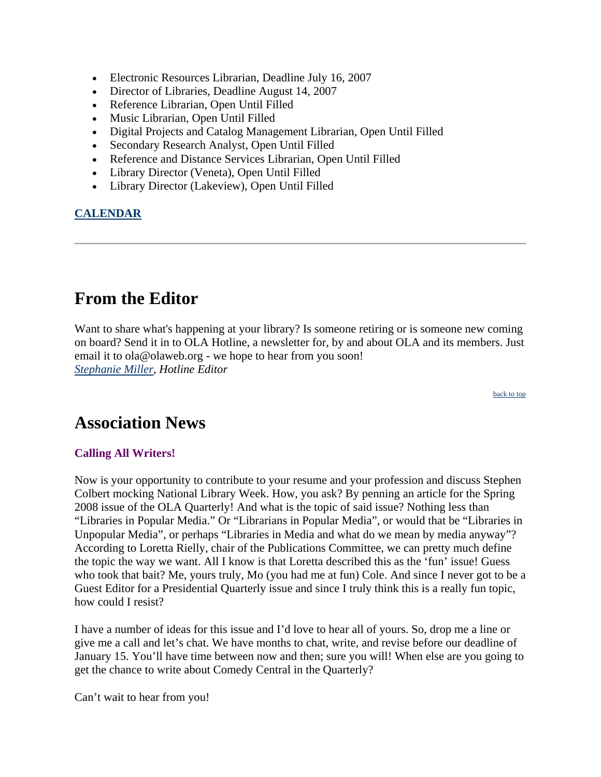- <span id="page-1-0"></span>• Electronic Resources Librarian, Deadline July 16, 2007
- Director of Libraries, Deadline August 14, 2007
- Reference Librarian, Open Until Filled
- Music Librarian, Open Until Filled
- Digital Projects and Catalog Management Librarian, Open Until Filled
- Secondary Research Analyst, Open Until Filled
- Reference and Distance Services Librarian, Open Until Filled
- Library Director (Veneta), Open Until Filled
- Library Director (Lakeview), Open Until Filled

### **CALENDAR**

# **From the Editor**

Want to share what's happening at your library? Is someone retiring or is someone new coming on board? Send it in to OLA Hotline, a newsletter for, by and about OLA and its members. Just email it to ola@olaweb.org - we hope to hear from you soon! *[Stephanie Miller](mailto:ola@olaweb.org), Hotline Editor*

[back to top](#page-0-0)

### **Association News**

### **Calling All Writers!**

Now is your opportunity to contribute to your resume and your profession and discuss Stephen Colbert mocking National Library Week. How, you ask? By penning an article for the Spring 2008 issue of the OLA Quarterly! And what is the topic of said issue? Nothing less than "Libraries in Popular Media." Or "Librarians in Popular Media", or would that be "Libraries in Unpopular Media", or perhaps "Libraries in Media and what do we mean by media anyway"? According to Loretta Rielly, chair of the Publications Committee, we can pretty much define the topic the way we want. All I know is that Loretta described this as the 'fun' issue! Guess who took that bait? Me, yours truly, Mo (you had me at fun) Cole. And since I never got to be a Guest Editor for a Presidential Quarterly issue and since I truly think this is a really fun topic, how could I resist?

I have a number of ideas for this issue and I'd love to hear all of yours. So, drop me a line or give me a call and let's chat. We have months to chat, write, and revise before our deadline of January 15. You'll have time between now and then; sure you will! When else are you going to get the chance to write about Comedy Central in the Quarterly?

Can't wait to hear from you!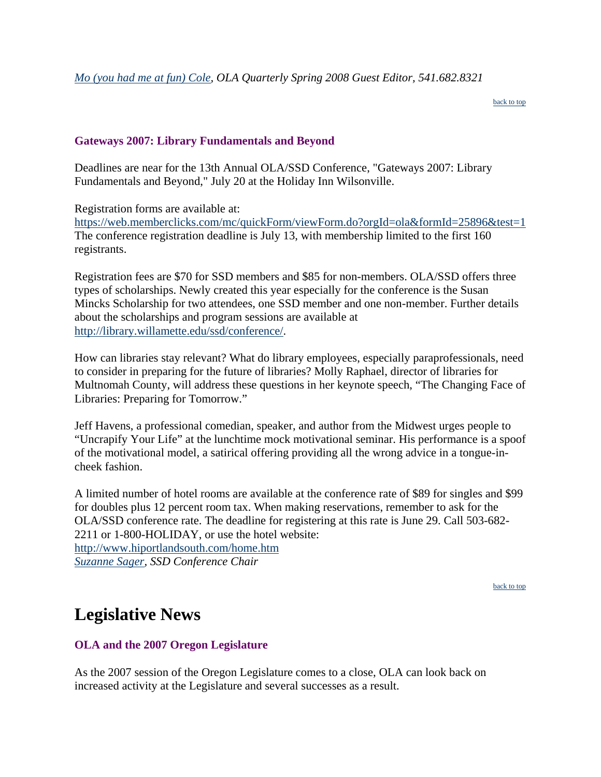[back to top](#page-0-0)

### <span id="page-2-0"></span>**Gateways 2007: Library Fundamentals and Beyond**

Deadlines are near for the 13th Annual OLA/SSD Conference, "Gateways 2007: Library Fundamentals and Beyond," July 20 at the Holiday Inn Wilsonville.

Registration forms are available at:

<https://web.memberclicks.com/mc/quickForm/viewForm.do?orgId=ola&formId=25896&test=1> [The conference registration deadline is July 13, with membership limited to the first 160](https://web.memberclicks.com/mc/quickForm/viewForm.do?orgId=ola&formId=25896&test=1)  [registrants.](https://web.memberclicks.com/mc/quickForm/viewForm.do?orgId=ola&formId=25896&test=1) 

Registration fees are \$70 for SSD members and \$85 for non-members. OLA/SSD offers three types of scholarships. Newly created this year especially for the conference is the Susan Mincks Scholarship for two attendees, one SSD member and one non-member. Further details about the scholarships and program sessions are available at [http://library.willamette.edu/ssd/conference/.](http://library.willamette.edu/ssd/conference/)

How can libraries stay relevant? What do library employees, especially paraprofessionals, need to consider in preparing for the future of libraries? Molly Raphael, director of libraries for Multnomah County, will address these questions in her keynote speech, "The Changing Face of Libraries: Preparing for Tomorrow."

Jeff Havens, a professional comedian, speaker, and author from the Midwest urges people to "Uncrapify Your Life" at the lunchtime mock motivational seminar. His performance is a spoof of the motivational model, a satirical offering providing all the wrong advice in a tongue-incheek fashion.

A limited number of hotel rooms are available at the conference rate of \$89 for singles and \$99 for doubles plus 12 percent room tax. When making reservations, remember to ask for the OLA/SSD conference rate. The deadline for registering at this rate is June 29. Call 503-682- 2211 or 1-800-HOLIDAY, or use the hotel website: <http://www.hiportlandsouth.com/home.htm> *[Suzanne Sager](mailto:sagers@pdx.edu), SSD Conference Chair*

[back to top](#page-0-0)

# **Legislative News**

### **OLA and the 2007 Oregon Legislature**

As the 2007 session of the Oregon Legislature comes to a close, OLA can look back on increased activity at the Legislature and several successes as a result.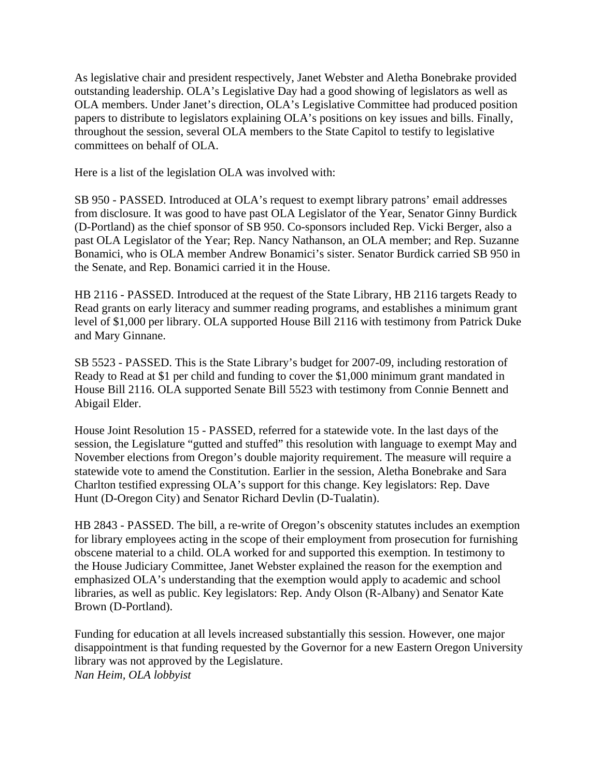As legislative chair and president respectively, Janet Webster and Aletha Bonebrake provided outstanding leadership. OLA's Legislative Day had a good showing of legislators as well as OLA members. Under Janet's direction, OLA's Legislative Committee had produced position papers to distribute to legislators explaining OLA's positions on key issues and bills. Finally, throughout the session, several OLA members to the State Capitol to testify to legislative committees on behalf of OLA.

Here is a list of the legislation OLA was involved with:

SB 950 - PASSED. Introduced at OLA's request to exempt library patrons' email addresses from disclosure. It was good to have past OLA Legislator of the Year, Senator Ginny Burdick (D-Portland) as the chief sponsor of SB 950. Co-sponsors included Rep. Vicki Berger, also a past OLA Legislator of the Year; Rep. Nancy Nathanson, an OLA member; and Rep. Suzanne Bonamici, who is OLA member Andrew Bonamici's sister. Senator Burdick carried SB 950 in the Senate, and Rep. Bonamici carried it in the House.

HB 2116 - PASSED. Introduced at the request of the State Library, HB 2116 targets Ready to Read grants on early literacy and summer reading programs, and establishes a minimum grant level of \$1,000 per library. OLA supported House Bill 2116 with testimony from Patrick Duke and Mary Ginnane.

SB 5523 - PASSED. This is the State Library's budget for 2007-09, including restoration of Ready to Read at \$1 per child and funding to cover the \$1,000 minimum grant mandated in House Bill 2116. OLA supported Senate Bill 5523 with testimony from Connie Bennett and Abigail Elder.

House Joint Resolution 15 - PASSED, referred for a statewide vote. In the last days of the session, the Legislature "gutted and stuffed" this resolution with language to exempt May and November elections from Oregon's double majority requirement. The measure will require a statewide vote to amend the Constitution. Earlier in the session, Aletha Bonebrake and Sara Charlton testified expressing OLA's support for this change. Key legislators: Rep. Dave Hunt (D-Oregon City) and Senator Richard Devlin (D-Tualatin).

HB 2843 - PASSED. The bill, a re-write of Oregon's obscenity statutes includes an exemption for library employees acting in the scope of their employment from prosecution for furnishing obscene material to a child. OLA worked for and supported this exemption. In testimony to the House Judiciary Committee, Janet Webster explained the reason for the exemption and emphasized OLA's understanding that the exemption would apply to academic and school libraries, as well as public. Key legislators: Rep. Andy Olson (R-Albany) and Senator Kate Brown (D-Portland).

Funding for education at all levels increased substantially this session. However, one major disappointment is that funding requested by the Governor for a new Eastern Oregon University library was not approved by the Legislature. *Nan Heim, OLA lobbyist*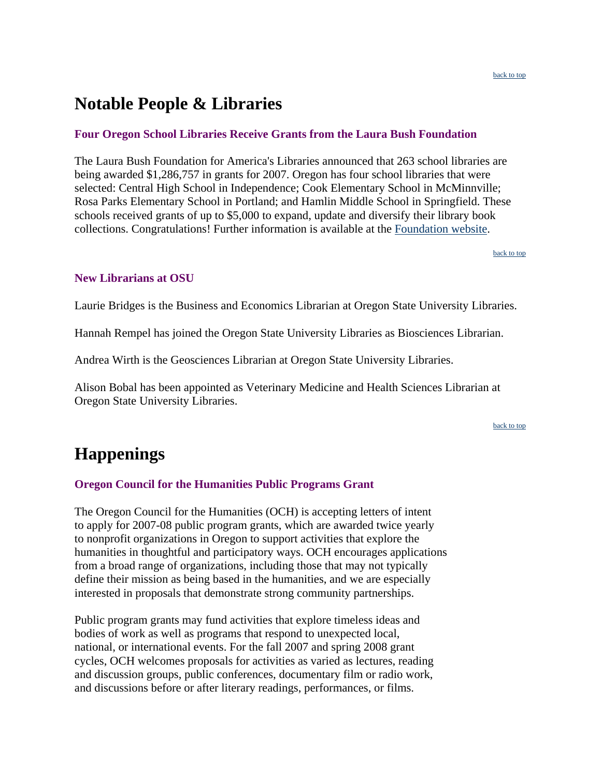### <span id="page-4-0"></span>**Notable People & Libraries**

### **Four Oregon School Libraries Receive Grants from the Laura Bush Foundation**

The Laura Bush Foundation for America's Libraries announced that 263 school libraries are being awarded \$1,286,757 in grants for 2007. Oregon has four school libraries that were selected: Central High School in Independence; Cook Elementary School in McMinnville; Rosa Parks Elementary School in Portland; and Hamlin Middle School in Springfield. These schools received grants of up to \$5,000 to expand, update and diversify their library book collections. Congratulations! Further information is available at the [Foundation website.](http://www.laurabushfoundation.org/)

[back to top](#page-0-0)

### **New Librarians at OSU**

Laurie Bridges is the Business and Economics Librarian at Oregon State University Libraries.

Hannah Rempel has joined the Oregon State University Libraries as Biosciences Librarian.

Andrea Wirth is the Geosciences Librarian at Oregon State University Libraries.

Alison Bobal has been appointed as Veterinary Medicine and Health Sciences Librarian at Oregon State University Libraries.

[back to top](#page-0-0)

# **Happenings**

### **Oregon Council for the Humanities Public Programs Grant**

The Oregon Council for the Humanities (OCH) is accepting letters of intent to apply for 2007-08 public program grants, which are awarded twice yearly to nonprofit organizations in Oregon to support activities that explore the humanities in thoughtful and participatory ways. OCH encourages applications from a broad range of organizations, including those that may not typically define their mission as being based in the humanities, and we are especially interested in proposals that demonstrate strong community partnerships.

Public program grants may fund activities that explore timeless ideas and bodies of work as well as programs that respond to unexpected local, national, or international events. For the fall 2007 and spring 2008 grant cycles, OCH welcomes proposals for activities as varied as lectures, reading and discussion groups, public conferences, documentary film or radio work, and discussions before or after literary readings, performances, or films.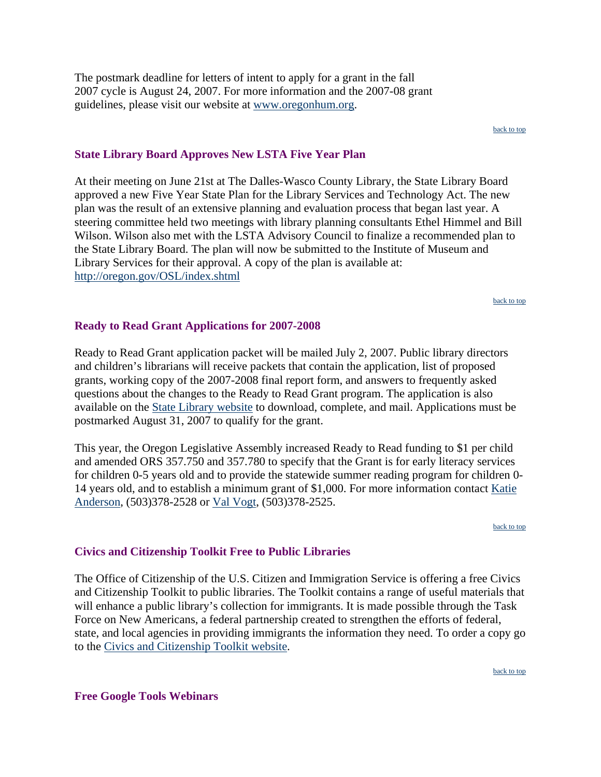<span id="page-5-0"></span>The postmark deadline for letters of intent to apply for a grant in the fall 2007 cycle is August 24, 2007. For more information and the 2007-08 grant guidelines, please visit our website at www.oregonhum.org.

[back to top](#page-0-0)

#### **State Library Board Approves New LSTA Five Year Plan**

At their meeting on June 21st at The Dalles-Wasco County Library, the State Library Board approved a new Five Year State Plan for the Library Services and Technology Act. The new plan was the result of an extensive planning and evaluation process that began last year. A steering committee held two meetings with library planning consultants Ethel Himmel and Bill Wilson. Wilson also met with the LSTA Advisory Council to finalize a recommended plan to the State Library Board. The plan will now be submitted to the Institute of Museum and Library Services for their approval. A copy of the plan is available at: <http://oregon.gov/OSL/index.shtml>

[back to top](#page-0-0)

#### **Ready to Read Grant Applications for 2007-2008**

Ready to Read Grant application packet will be mailed July 2, 2007. Public library directors and children's librarians will receive packets that contain the application, list of proposed grants, working copy of the 2007-2008 final report form, and answers to frequently asked questions about the changes to the Ready to Read Grant program. The application is also available on the [State Library website](http://www.oregon.gov/OSL/LD/) to download, complete, and mail. Applications must be postmarked August 31, 2007 to qualify for the grant.

This year, the Oregon Legislative Assembly increased Ready to Read funding to \$1 per child and amended ORS 357.750 and 357.780 to specify that the Grant is for early literacy services for children 0-5 years old and to provide the statewide summer reading program for children 0- 14 years old, and to establish a minimum grant of \$1,000. For more information contact [Katie](mailto:katie.anderson@state.or.us)  [Anderson,](mailto:katie.anderson@state.or.us) (503)378-2528 or [Val Vogt](mailto:val.t.vogt@state.or.us), (503)378-2525.

[back to top](#page-0-0)

### **Civics and Citizenship Toolkit Free to Public Libraries**

The Office of Citizenship of the U.S. Citizen and Immigration Service is offering a free Civics and Citizenship Toolkit to public libraries. The Toolkit contains a range of useful materials that will enhance a public library's collection for immigrants. It is made possible through the Task Force on New Americans, a federal partnership created to strengthen the efforts of federal, state, and local agencies in providing immigrants the information they need. To order a copy go to the [Civics and Citizenship Toolkit website.](http://www.citizenshiptoolkit.gov/)

[back to top](#page-0-0)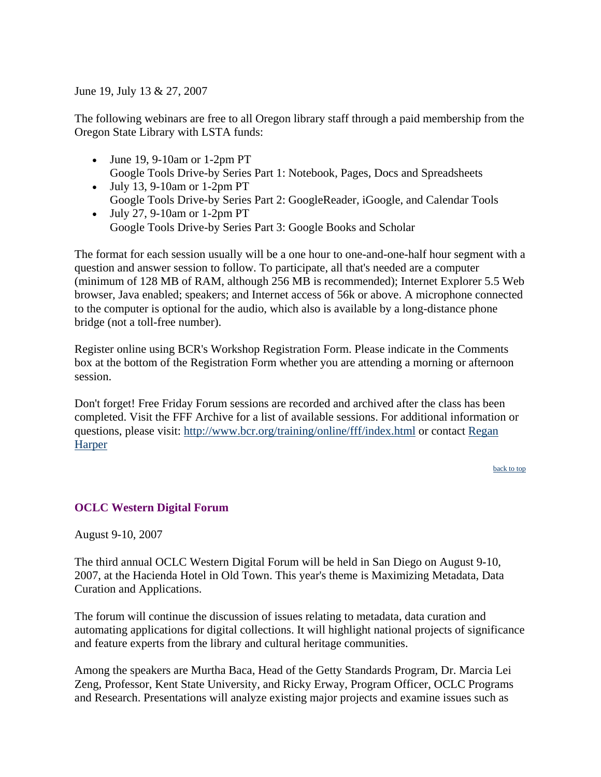<span id="page-6-0"></span>June 19, July 13 & 27, 2007

The following webinars are free to all Oregon library staff through a paid membership from the Oregon State Library with LSTA funds:

- June 19, 9-10am or 1-2pm PT Google Tools Drive-by Series Part 1: Notebook, Pages, Docs and Spreadsheets
- July 13, 9-10am or 1-2pm PT Google Tools Drive-by Series Part 2: GoogleReader, iGoogle, and Calendar Tools
- July 27, 9-10am or 1-2pm PT Google Tools Drive-by Series Part 3: Google Books and Scholar

The format for each session usually will be a one hour to one-and-one-half hour segment with a question and answer session to follow. To participate, all that's needed are a computer (minimum of 128 MB of RAM, although 256 MB is recommended); Internet Explorer 5.5 Web browser, Java enabled; speakers; and Internet access of 56k or above. A microphone connected to the computer is optional for the audio, which also is available by a long-distance phone bridge (not a toll-free number).

Register online using BCR's Workshop Registration Form. Please indicate in the Comments box at the bottom of the Registration Form whether you are attending a morning or afternoon session.

Don't forget! Free Friday Forum sessions are recorded and archived after the class has been completed. Visit the FFF Archive for a list of available sessions. For additional information or questions, please visit:<http://www.bcr.org/training/online/fff/index.html>or contact [Regan](mailto:rharper@bcr.org)  **[Harper](mailto:rharper@bcr.org)** 

[back to top](#page-0-0)

### **OCLC Western Digital Forum**

August 9-10, 2007

The third annual OCLC Western Digital Forum will be held in San Diego on August 9-10, 2007, at the Hacienda Hotel in Old Town. This year's theme is Maximizing Metadata, Data Curation and Applications.

The forum will continue the discussion of issues relating to metadata, data curation and automating applications for digital collections. It will highlight national projects of significance and feature experts from the library and cultural heritage communities.

Among the speakers are Murtha Baca, Head of the Getty Standards Program, Dr. Marcia Lei Zeng, Professor, Kent State University, and Ricky Erway, Program Officer, OCLC Programs and Research. Presentations will analyze existing major projects and examine issues such as